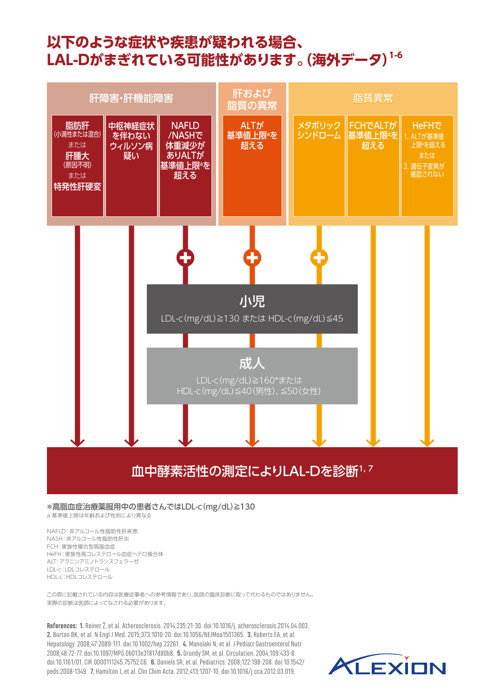# **以下のような症状や疾患が疑われる場合、 LAL-Dがまぎれている可能性があります。(海外データ)1-6**



#### 血中酵素活性の測定によりLAL-Dを診断1,7

#### \*高脂血症治療薬服用中の患者さんではLDL-c(mg/dL)≧130

a 基準値上限は年齢および性別により異なる

NAFLD:非アルコール性脂肪性肝疾患 NASH:非アルコール性脂肪性肝炎 FCH:家族性複合型高脂血症 HeFH:家族性高コレステロール血症ヘテロ接合体 ALT:アラニンアミノトランスフェラーゼ LDL-c:LDLコレステロール HDL-c:HDLコレステロール

この頁に記載されている内容は医療従事者への参考情報であり、医師の臨床診断に取って代わるものではありません。 実際の診断は医師によってなされる必要があります。

**References: 1.** Reiner Ž, et al. Atherosclerosis. 2014;235:21-30. doi:10.1016/j. atherosclerosis.2014.04.003. **2.** Burton BK, et al. N Engl J Med. 2015;373:1010-20. doi:10.1056/NEJMoa1501365. **3.** Roberts EA, et al. Hepatology. 2008;47:2089-111. doi:10.1002/hep.22261. **4.** Manolaki N, et al. J Pediatr Gastroenterol Nutr. 2008;48:72-77. doi:10.1097/MPG.0b013e31817d80b8. **5.** Grundy SM, et al. Circulation. 2004;109:433-8. doi:10.1161/01. CIR.0000111245.75752.C6. **6.** Daniels SR, et al. Pediatrics. 2008;122:198-208. doi:10.1542/ peds.2008-1349. **7.** Hamilton J, et al. Clin Chim Acta. 2012;413:1207-10. doi:10.1016/j.cca.2012.03.019.

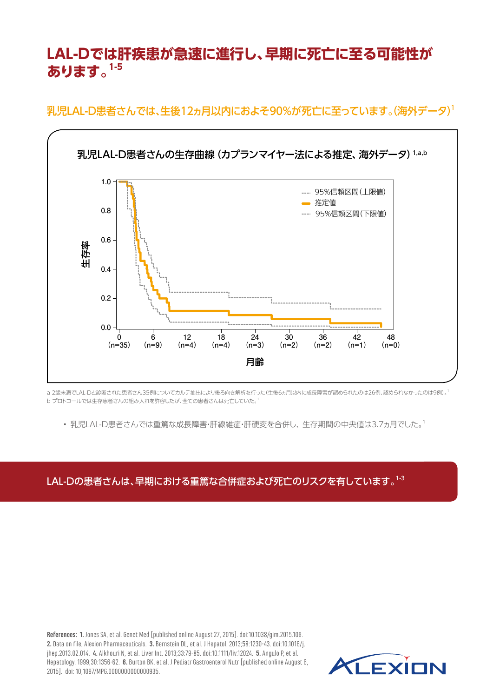## **LAL-Dでは肝疾患が急速に進行し、早期に死亡に至る可能性が** 1.0 **b あります。1-5** 0.8 Proportion of survival and contact the contact of the contact of survival and contact of the contact of the contact of the contact of the contact of the contact of the contact of the contact of the contact of the contact o

乳児LAL-D患者さんでは、生後12ヵ月以内におよそ90%が死亡に至っています。(海外データ)<sup>1</sup>



a 2歳未満でLAL-Dと診断された患者さん35例についてカルテ抽出により後ろ向き解析を行った(生後6ヵ月以内に成長障害が認められたのは26例、認められなかったのは9例)。1 b プロトコールでは生存患者さんの組み入れを許容したが、全ての患者さんは死亡していた。1

• 乳児LAL-D患者さんでは重篤な成長障害・肝線維症・肝硬変を合併し、 生存期間の中央値は3.7ヵ月でした。1

LAL-Dの患者さんは、早期における重篤な合併症および死亡のリスクを有しています。1-3

**References: 1.** Jones SA, et al. Genet Med [published online August 27, 2015]. doi:10.1038/gim.2015.108. **2.** Data on file, Alexion Pharmaceuticals. **3.** Bernstein DL, et al. J Hepatol. 2013;58:1230-43. doi:10.1016/j. jhep.2013.02.014. **4.** Alkhouri N, et al. Liver Int. 2013;33:79-85. doi:10.1111/liv.12024. **5.** Angulo P, et al. Hepatology. 1999;30:1356-62. **6.** Burton BK, et al. J Pediatr Gastroenterol Nutr [published online August 6, 2015]. doi: 10,1097/MPG.0000000000000935.